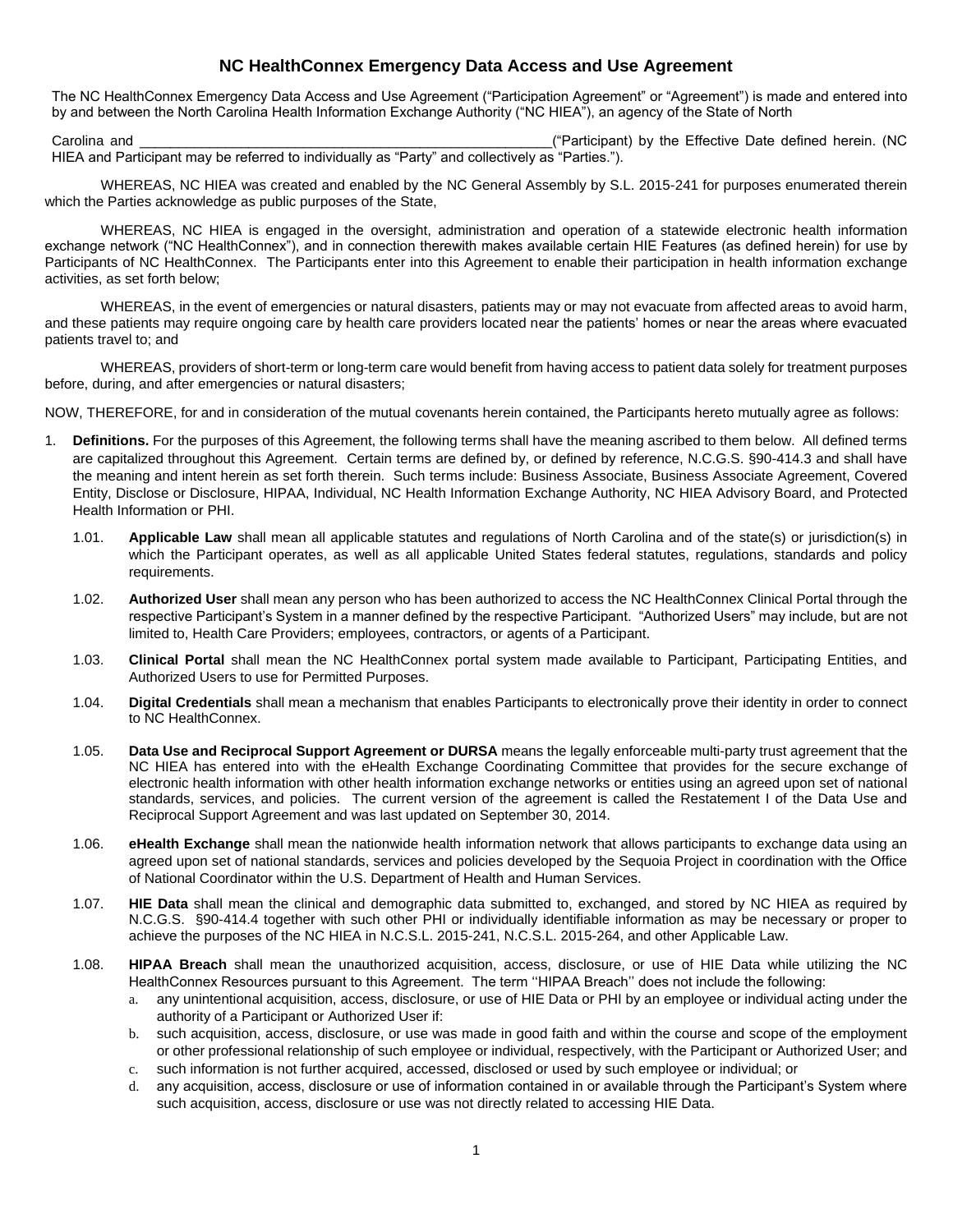# **NC HealthConnex Emergency Data Access and Use Agreement**

The NC HealthConnex Emergency Data Access and Use Agreement ("Participation Agreement" or "Agreement") is made and entered into by and between the North Carolina Health Information Exchange Authority ("NC HIEA"), an agency of the State of North

Carolina and **Carolina and Carolina and Carolina and Carolina** and Carolina and Carolina and Carolina and Carolina and Carolina and Carolina and Carolina and Carolina and Carolina and Carolina and Carolina and Carolina and HIEA and Participant may be referred to individually as "Party" and collectively as "Parties.").

WHEREAS, NC HIEA was created and enabled by the NC General Assembly by S.L. 2015-241 for purposes enumerated therein which the Parties acknowledge as public purposes of the State,

WHEREAS, NC HIEA is engaged in the oversight, administration and operation of a statewide electronic health information exchange network ("NC HealthConnex"), and in connection therewith makes available certain HIE Features (as defined herein) for use by Participants of NC HealthConnex. The Participants enter into this Agreement to enable their participation in health information exchange activities, as set forth below;

WHEREAS, in the event of emergencies or natural disasters, patients may or may not evacuate from affected areas to avoid harm, and these patients may require ongoing care by health care providers located near the patients' homes or near the areas where evacuated patients travel to; and

WHEREAS, providers of short-term or long-term care would benefit from having access to patient data solely for treatment purposes before, during, and after emergencies or natural disasters;

NOW, THEREFORE, for and in consideration of the mutual covenants herein contained, the Participants hereto mutually agree as follows:

- 1. **Definitions.** For the purposes of this Agreement, the following terms shall have the meaning ascribed to them below. All defined terms are capitalized throughout this Agreement. Certain terms are defined by, or defined by reference, N.C.G.S. §90-414.3 and shall have the meaning and intent herein as set forth therein. Such terms include: Business Associate, Business Associate Agreement, Covered Entity, Disclose or Disclosure, HIPAA, Individual, NC Health Information Exchange Authority, NC HIEA Advisory Board, and Protected Health Information or PHI.
	- 1.01. **Applicable Law** shall mean all applicable statutes and regulations of North Carolina and of the state(s) or jurisdiction(s) in which the Participant operates, as well as all applicable United States federal statutes, regulations, standards and policy requirements.
	- 1.02. **Authorized User** shall mean any person who has been authorized to access the NC HealthConnex Clinical Portal through the respective Participant's System in a manner defined by the respective Participant. "Authorized Users" may include, but are not limited to, Health Care Providers; employees, contractors, or agents of a Participant.
	- 1.03. **Clinical Portal** shall mean the NC HealthConnex portal system made available to Participant, Participating Entities, and Authorized Users to use for Permitted Purposes.
	- 1.04. **Digital Credentials** shall mean a mechanism that enables Participants to electronically prove their identity in order to connect to NC HealthConnex.
	- 1.05. **Data Use and Reciprocal Support Agreement or DURSA** means the legally enforceable multi-party trust agreement that the NC HIEA has entered into with the eHealth Exchange Coordinating Committee that provides for the secure exchange of electronic health information with other health information exchange networks or entities using an agreed upon set of national standards, services, and policies. The current version of the agreement is called the Restatement I of the Data Use and Reciprocal Support Agreement and was last updated on September 30, 2014.
	- 1.06. **eHealth Exchange** shall mean the nationwide health information network that allows participants to exchange data using an agreed upon set of national standards, services and policies developed by the Sequoia Project in coordination with the Office of National Coordinator within the U.S. Department of Health and Human Services.
	- 1.07. **HIE Data** shall mean the clinical and demographic data submitted to, exchanged, and stored by NC HIEA as required by N.C.G.S. §90-414.4 together with such other PHI or individually identifiable information as may be necessary or proper to achieve the purposes of the NC HIEA in N.C.S.L. 2015-241, N.C.S.L. 2015-264, and other Applicable Law.
	- 1.08. **HIPAA Breach** shall mean the unauthorized acquisition, access, disclosure, or use of HIE Data while utilizing the NC HealthConnex Resources pursuant to this Agreement. The term ''HIPAA Breach'' does not include the following:
		- a. any unintentional acquisition, access, disclosure, or use of HIE Data or PHI by an employee or individual acting under the authority of a Participant or Authorized User if:
		- b. such acquisition, access, disclosure, or use was made in good faith and within the course and scope of the employment or other professional relationship of such employee or individual, respectively, with the Participant or Authorized User; and
		- c. such information is not further acquired, accessed, disclosed or used by such employee or individual; or
		- d. any acquisition, access, disclosure or use of information contained in or available through the Participant's System where such acquisition, access, disclosure or use was not directly related to accessing HIE Data.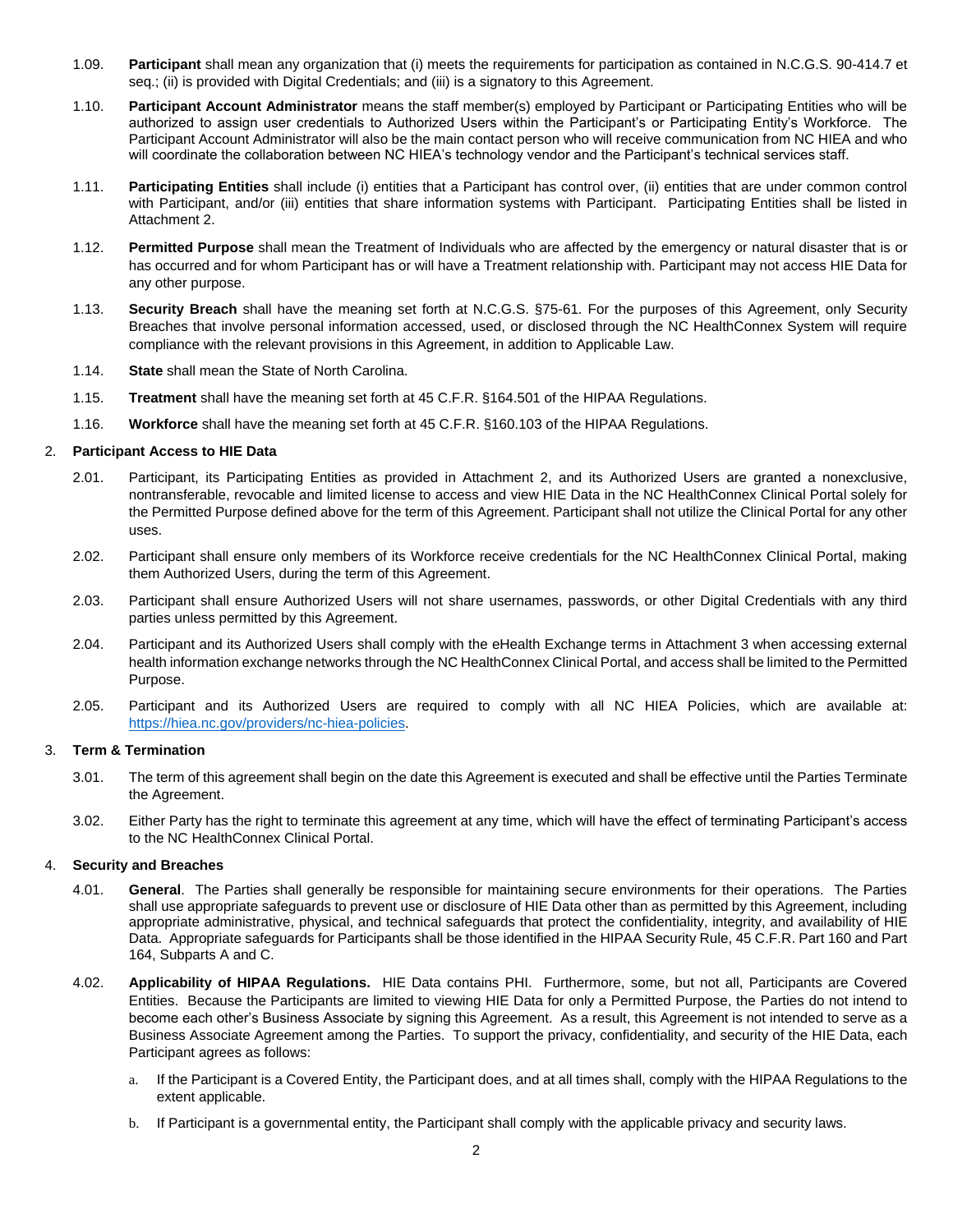- 1.09. **Participant** shall mean any organization that (i) meets the requirements for participation as contained in N.C.G.S. 90-414.7 et seq.; (ii) is provided with Digital Credentials; and (iii) is a signatory to this Agreement.
- 1.10. **Participant Account Administrator** means the staff member(s) employed by Participant or Participating Entities who will be authorized to assign user credentials to Authorized Users within the Participant's or Participating Entity's Workforce. The Participant Account Administrator will also be the main contact person who will receive communication from NC HIEA and who will coordinate the collaboration between NC HIEA's technology vendor and the Participant's technical services staff.
- 1.11. **Participating Entities** shall include (i) entities that a Participant has control over, (ii) entities that are under common control with Participant, and/or (iii) entities that share information systems with Participant. Participating Entities shall be listed in Attachment 2.
- 1.12. **Permitted Purpose** shall mean the Treatment of Individuals who are affected by the emergency or natural disaster that is or has occurred and for whom Participant has or will have a Treatment relationship with. Participant may not access HIE Data for any other purpose.
- 1.13. **Security Breach** shall have the meaning set forth at N.C.G.S. §75-61. For the purposes of this Agreement, only Security Breaches that involve personal information accessed, used, or disclosed through the NC HealthConnex System will require compliance with the relevant provisions in this Agreement, in addition to Applicable Law.
- 1.14. **State** shall mean the State of North Carolina.
- 1.15. **Treatment** shall have the meaning set forth at 45 C.F.R. §164.501 of the HIPAA Regulations.
- 1.16. **Workforce** shall have the meaning set forth at 45 C.F.R. §160.103 of the HIPAA Regulations.

### 2. **Participant Access to HIE Data**

- 2.01. Participant, its Participating Entities as provided in Attachment 2, and its Authorized Users are granted a nonexclusive, nontransferable, revocable and limited license to access and view HIE Data in the NC HealthConnex Clinical Portal solely for the Permitted Purpose defined above for the term of this Agreement. Participant shall not utilize the Clinical Portal for any other uses.
- 2.02. Participant shall ensure only members of its Workforce receive credentials for the NC HealthConnex Clinical Portal, making them Authorized Users, during the term of this Agreement.
- 2.03. Participant shall ensure Authorized Users will not share usernames, passwords, or other Digital Credentials with any third parties unless permitted by this Agreement.
- 2.04. Participant and its Authorized Users shall comply with the eHealth Exchange terms in Attachment 3 when accessing external health information exchange networks through the NC HealthConnex Clinical Portal, and access shall be limited to the Permitted Purpose.
- 2.05. Participant and its Authorized Users are required to comply with all NC HIEA Policies, which are available at: https://hiea.nc.gov/providers/nc-hiea-policies.

# 3. **Term & Termination**

- 3.01. The term of this agreement shall begin on the date this Agreement is executed and shall be effective until the Parties Terminate the Agreement.
- 3.02. Either Party has the right to terminate this agreement at any time, which will have the effect of terminating Participant's access to the NC HealthConnex Clinical Portal.

#### 4. **Security and Breaches**

- 4.01. **General**. The Parties shall generally be responsible for maintaining secure environments for their operations. The Parties shall use appropriate safeguards to prevent use or disclosure of HIE Data other than as permitted by this Agreement, including appropriate administrative, physical, and technical safeguards that protect the confidentiality, integrity, and availability of HIE Data. Appropriate safeguards for Participants shall be those identified in the HIPAA Security Rule, 45 C.F.R. Part 160 and Part 164, Subparts A and C.
- 4.02. **Applicability of HIPAA Regulations.** HIE Data contains PHI. Furthermore, some, but not all, Participants are Covered Entities. Because the Participants are limited to viewing HIE Data for only a Permitted Purpose, the Parties do not intend to become each other's Business Associate by signing this Agreement. As a result, this Agreement is not intended to serve as a Business Associate Agreement among the Parties. To support the privacy, confidentiality, and security of the HIE Data, each Participant agrees as follows:
	- a. If the Participant is a Covered Entity, the Participant does, and at all times shall, comply with the HIPAA Regulations to the extent applicable.
	- b. If Participant is a governmental entity, the Participant shall comply with the applicable privacy and security laws.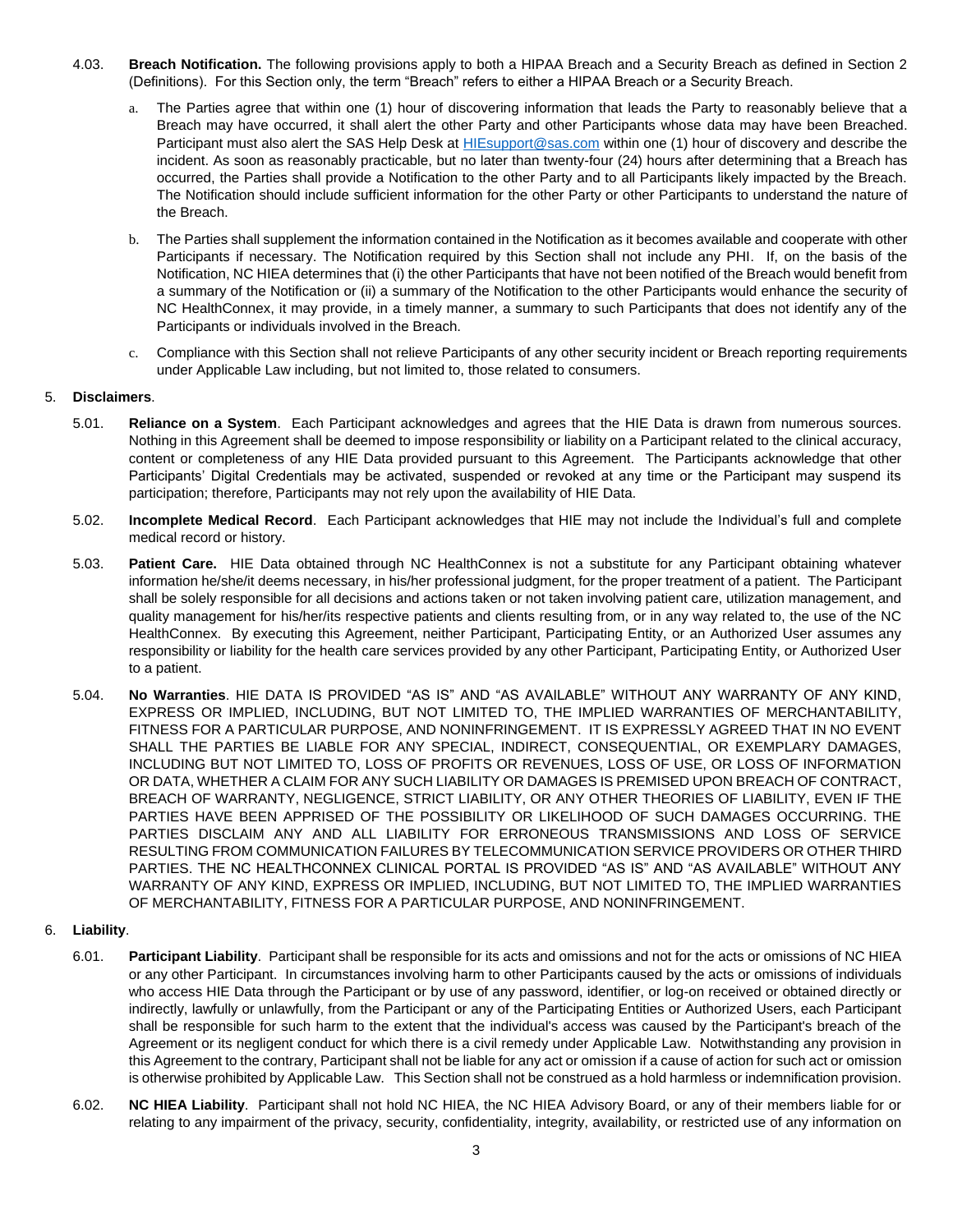- 4.03. **Breach Notification.** The following provisions apply to both a HIPAA Breach and a Security Breach as defined in Section 2 (Definitions). For this Section only, the term "Breach" refers to either a HIPAA Breach or a Security Breach.
	- a. The Parties agree that within one (1) hour of discovering information that leads the Party to reasonably believe that a Breach may have occurred, it shall alert the other Party and other Participants whose data may have been Breached. Participant must also alert the SAS Help Desk at HIEsupport@sas.com within one (1) hour of discovery and describe the incident. As soon as reasonably practicable, but no later than twenty-four (24) hours after determining that a Breach has occurred, the Parties shall provide a Notification to the other Party and to all Participants likely impacted by the Breach. The Notification should include sufficient information for the other Party or other Participants to understand the nature of the Breach.
	- b. The Parties shall supplement the information contained in the Notification as it becomes available and cooperate with other Participants if necessary. The Notification required by this Section shall not include any PHI. If, on the basis of the Notification, NC HIEA determines that (i) the other Participants that have not been notified of the Breach would benefit from a summary of the Notification or (ii) a summary of the Notification to the other Participants would enhance the security of NC HealthConnex, it may provide, in a timely manner, a summary to such Participants that does not identify any of the Participants or individuals involved in the Breach.
	- c. Compliance with this Section shall not relieve Participants of any other security incident or Breach reporting requirements under Applicable Law including, but not limited to, those related to consumers.

# 5. **Disclaimers**.

- 5.01. **Reliance on a System**. Each Participant acknowledges and agrees that the HIE Data is drawn from numerous sources. Nothing in this Agreement shall be deemed to impose responsibility or liability on a Participant related to the clinical accuracy, content or completeness of any HIE Data provided pursuant to this Agreement. The Participants acknowledge that other Participants' Digital Credentials may be activated, suspended or revoked at any time or the Participant may suspend its participation; therefore, Participants may not rely upon the availability of HIE Data.
- 5.02. **Incomplete Medical Record**. Each Participant acknowledges that HIE may not include the Individual's full and complete medical record or history.
- 5.03. **Patient Care.** HIE Data obtained through NC HealthConnex is not a substitute for any Participant obtaining whatever information he/she/it deems necessary, in his/her professional judgment, for the proper treatment of a patient. The Participant shall be solely responsible for all decisions and actions taken or not taken involving patient care, utilization management, and quality management for his/her/its respective patients and clients resulting from, or in any way related to, the use of the NC HealthConnex. By executing this Agreement, neither Participant, Participating Entity, or an Authorized User assumes any responsibility or liability for the health care services provided by any other Participant, Participating Entity, or Authorized User to a patient.
- 5.04. **No Warranties**. HIE DATA IS PROVIDED "AS IS" AND "AS AVAILABLE" WITHOUT ANY WARRANTY OF ANY KIND, EXPRESS OR IMPLIED, INCLUDING, BUT NOT LIMITED TO, THE IMPLIED WARRANTIES OF MERCHANTABILITY, FITNESS FOR A PARTICULAR PURPOSE, AND NONINFRINGEMENT. IT IS EXPRESSLY AGREED THAT IN NO EVENT SHALL THE PARTIES BE LIABLE FOR ANY SPECIAL, INDIRECT, CONSEQUENTIAL, OR EXEMPLARY DAMAGES, INCLUDING BUT NOT LIMITED TO, LOSS OF PROFITS OR REVENUES, LOSS OF USE, OR LOSS OF INFORMATION OR DATA, WHETHER A CLAIM FOR ANY SUCH LIABILITY OR DAMAGES IS PREMISED UPON BREACH OF CONTRACT, BREACH OF WARRANTY, NEGLIGENCE, STRICT LIABILITY, OR ANY OTHER THEORIES OF LIABILITY, EVEN IF THE PARTIES HAVE BEEN APPRISED OF THE POSSIBILITY OR LIKELIHOOD OF SUCH DAMAGES OCCURRING. THE PARTIES DISCLAIM ANY AND ALL LIABILITY FOR ERRONEOUS TRANSMISSIONS AND LOSS OF SERVICE RESULTING FROM COMMUNICATION FAILURES BY TELECOMMUNICATION SERVICE PROVIDERS OR OTHER THIRD PARTIES. THE NC HEALTHCONNEX CLINICAL PORTAL IS PROVIDED "AS IS" AND "AS AVAILABLE" WITHOUT ANY WARRANTY OF ANY KIND, EXPRESS OR IMPLIED, INCLUDING, BUT NOT LIMITED TO, THE IMPLIED WARRANTIES OF MERCHANTABILITY, FITNESS FOR A PARTICULAR PURPOSE, AND NONINFRINGEMENT.

### 6. **Liability**.

- 6.01. **Participant Liability**. Participant shall be responsible for its acts and omissions and not for the acts or omissions of NC HIEA or any other Participant. In circumstances involving harm to other Participants caused by the acts or omissions of individuals who access HIE Data through the Participant or by use of any password, identifier, or log-on received or obtained directly or indirectly, lawfully or unlawfully, from the Participant or any of the Participating Entities or Authorized Users, each Participant shall be responsible for such harm to the extent that the individual's access was caused by the Participant's breach of the Agreement or its negligent conduct for which there is a civil remedy under Applicable Law. Notwithstanding any provision in this Agreement to the contrary, Participant shall not be liable for any act or omission if a cause of action for such act or omission is otherwise prohibited by Applicable Law. This Section shall not be construed as a hold harmless or indemnification provision.
- 6.02. **NC HIEA Liability**. Participant shall not hold NC HIEA, the NC HIEA Advisory Board, or any of their members liable for or relating to any impairment of the privacy, security, confidentiality, integrity, availability, or restricted use of any information on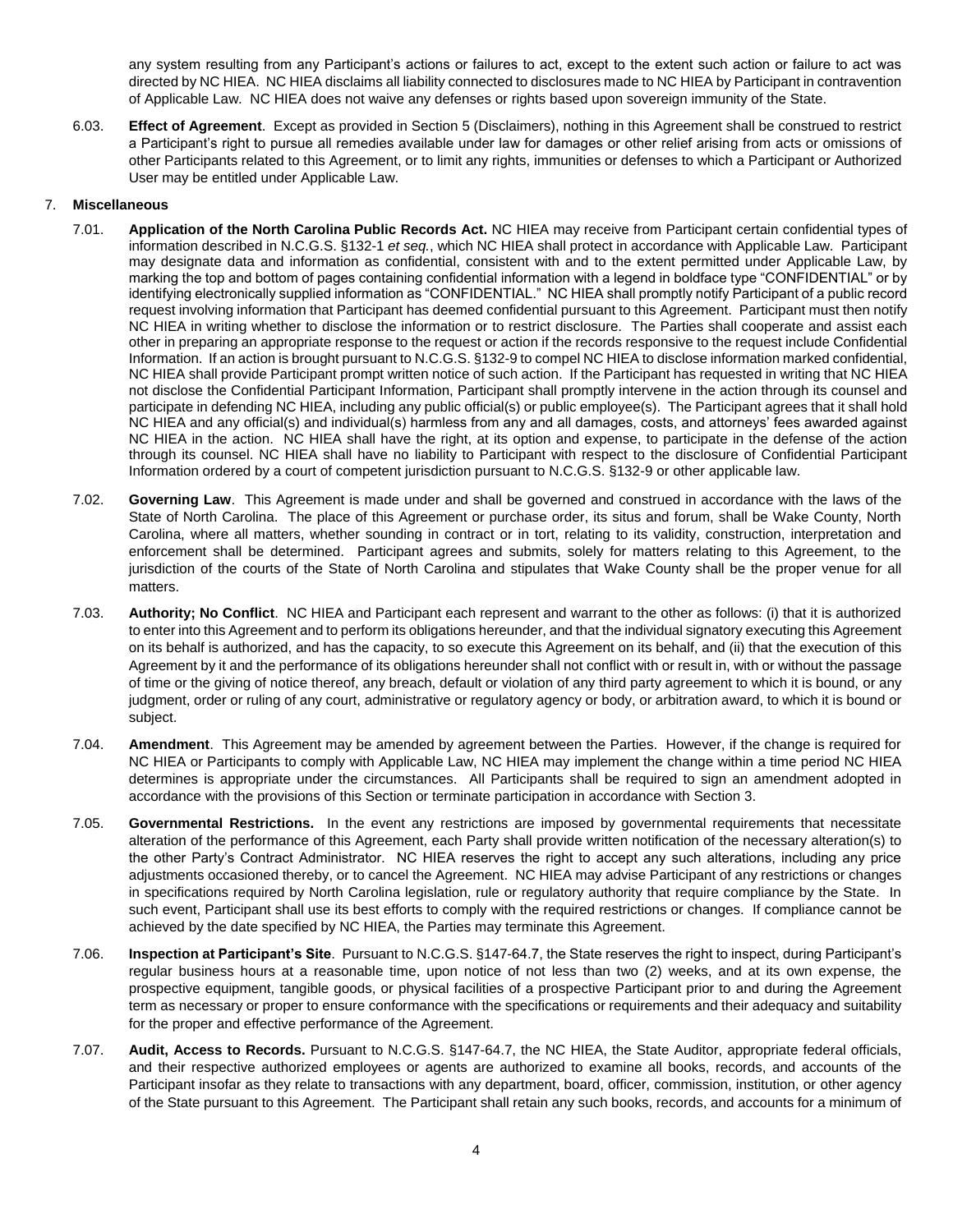any system resulting from any Participant's actions or failures to act, except to the extent such action or failure to act was directed by NC HIEA. NC HIEA disclaims all liability connected to disclosures made to NC HIEA by Participant in contravention of Applicable Law. NC HIEA does not waive any defenses or rights based upon sovereign immunity of the State.

6.03. **Effect of Agreement**. Except as provided in Section 5 (Disclaimers), nothing in this Agreement shall be construed to restrict a Participant's right to pursue all remedies available under law for damages or other relief arising from acts or omissions of other Participants related to this Agreement, or to limit any rights, immunities or defenses to which a Participant or Authorized User may be entitled under Applicable Law.

### 7. **Miscellaneous**

- 7.01. **Application of the North Carolina Public Records Act.** NC HIEA may receive from Participant certain confidential types of information described in N.C.G.S. §132-1 *et seq.*, which NC HIEA shall protect in accordance with Applicable Law. Participant may designate data and information as confidential, consistent with and to the extent permitted under Applicable Law, by marking the top and bottom of pages containing confidential information with a legend in boldface type "CONFIDENTIAL" or by identifying electronically supplied information as "CONFIDENTIAL." NC HIEA shall promptly notify Participant of a public record request involving information that Participant has deemed confidential pursuant to this Agreement. Participant must then notify NC HIEA in writing whether to disclose the information or to restrict disclosure. The Parties shall cooperate and assist each other in preparing an appropriate response to the request or action if the records responsive to the request include Confidential Information. If an action is brought pursuant to N.C.G.S. §132-9 to compel NC HIEA to disclose information marked confidential, NC HIEA shall provide Participant prompt written notice of such action. If the Participant has requested in writing that NC HIEA not disclose the Confidential Participant Information, Participant shall promptly intervene in the action through its counsel and participate in defending NC HIEA, including any public official(s) or public employee(s). The Participant agrees that it shall hold NC HIEA and any official(s) and individual(s) harmless from any and all damages, costs, and attorneys' fees awarded against NC HIEA in the action. NC HIEA shall have the right, at its option and expense, to participate in the defense of the action through its counsel. NC HIEA shall have no liability to Participant with respect to the disclosure of Confidential Participant Information ordered by a court of competent jurisdiction pursuant to N.C.G.S. §132-9 or other applicable law.
- 7.02. **Governing Law**. This Agreement is made under and shall be governed and construed in accordance with the laws of the State of North Carolina. The place of this Agreement or purchase order, its situs and forum, shall be Wake County, North Carolina, where all matters, whether sounding in contract or in tort, relating to its validity, construction, interpretation and enforcement shall be determined. Participant agrees and submits, solely for matters relating to this Agreement, to the jurisdiction of the courts of the State of North Carolina and stipulates that Wake County shall be the proper venue for all matters.
- 7.03. **Authority; No Conflict**. NC HIEA and Participant each represent and warrant to the other as follows: (i) that it is authorized to enter into this Agreement and to perform its obligations hereunder, and that the individual signatory executing this Agreement on its behalf is authorized, and has the capacity, to so execute this Agreement on its behalf, and (ii) that the execution of this Agreement by it and the performance of its obligations hereunder shall not conflict with or result in, with or without the passage of time or the giving of notice thereof, any breach, default or violation of any third party agreement to which it is bound, or any judgment, order or ruling of any court, administrative or regulatory agency or body, or arbitration award, to which it is bound or subject.
- <span id="page-3-0"></span>7.04. **Amendment**. This Agreement may be amended by agreement between the Parties. However, if the change is required for NC HIEA or Participants to comply with Applicable Law, NC HIEA may implement the change within a time period NC HIEA determines is appropriate under the circumstances. All Participants shall be required to sign an amendment adopted in accordance with the provisions of this Section or terminate participation in accordance with Section 3.
- 7.05. **Governmental Restrictions.** In the event any restrictions are imposed by governmental requirements that necessitate alteration of the performance of this Agreement, each Party shall provide written notification of the necessary alteration(s) to the other Party's Contract Administrator. NC HIEA reserves the right to accept any such alterations, including any price adjustments occasioned thereby, or to cancel the Agreement. NC HIEA may advise Participant of any restrictions or changes in specifications required by North Carolina legislation, rule or regulatory authority that require compliance by the State. In such event, Participant shall use its best efforts to comply with the required restrictions or changes. If compliance cannot be achieved by the date specified by NC HIEA, the Parties may terminate this Agreement.
- 7.06. **Inspection at Participant's Site**. Pursuant to N.C.G.S. §147-64.7, the State reserves the right to inspect, during Participant's regular business hours at a reasonable time, upon notice of not less than two (2) weeks, and at its own expense, the prospective equipment, tangible goods, or physical facilities of a prospective Participant prior to and during the Agreement term as necessary or proper to ensure conformance with the specifications or requirements and their adequacy and suitability for the proper and effective performance of the Agreement.
- 7.07. **Audit, Access to Records.** Pursuant to N.C.G.S. §147-64.7, the NC HIEA, the State Auditor, appropriate federal officials, and their respective authorized employees or agents are authorized to examine all books, records, and accounts of the Participant insofar as they relate to transactions with any department, board, officer, commission, institution, or other agency of the State pursuant to this Agreement. The Participant shall retain any such books, records, and accounts for a minimum of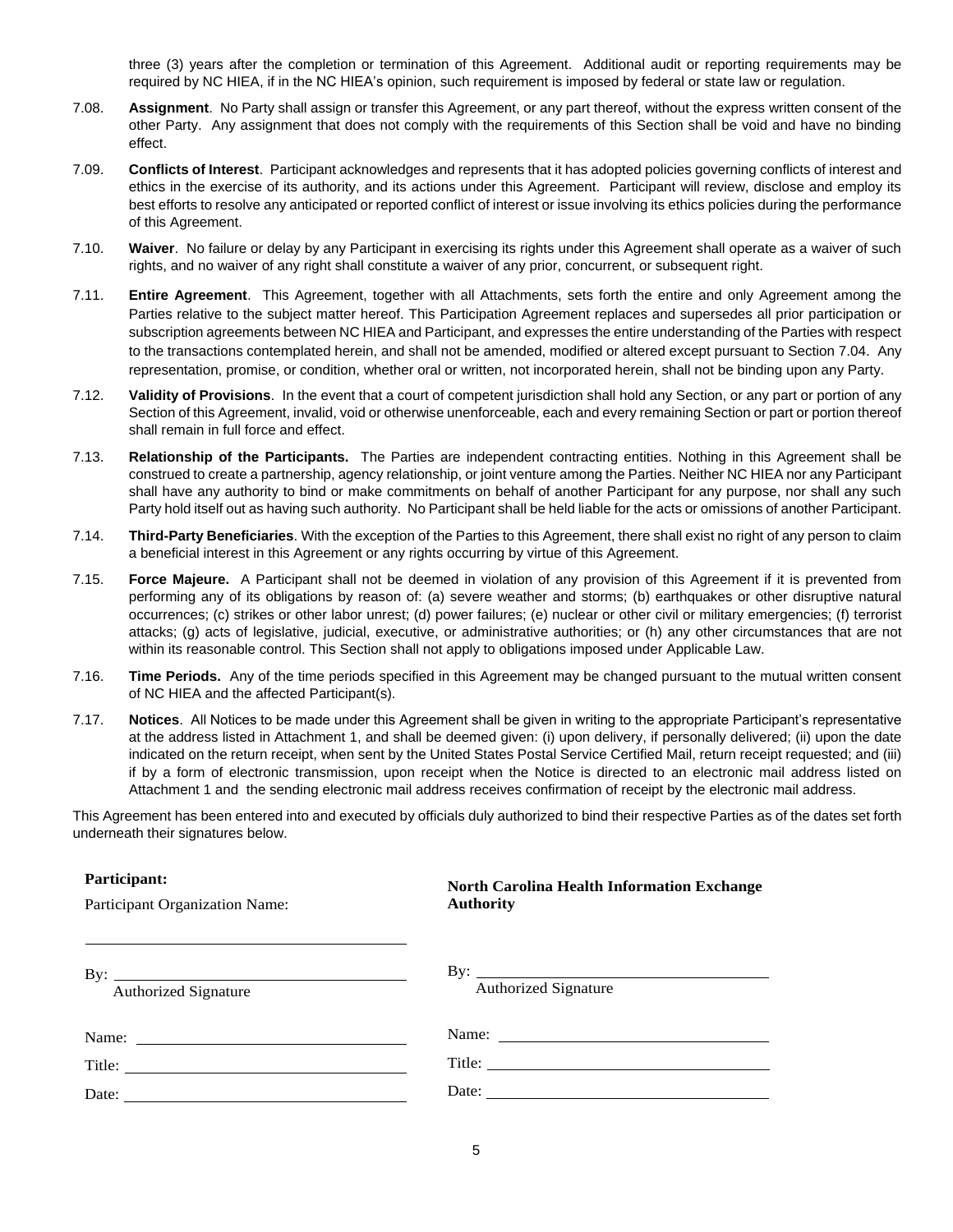three (3) years after the completion or termination of this Agreement. Additional audit or reporting requirements may be required by NC HIEA, if in the NC HIEA's opinion, such requirement is imposed by federal or state law or regulation.

- 7.08. **Assignment**. No Party shall assign or transfer this Agreement, or any part thereof, without the express written consent of the other Party. Any assignment that does not comply with the requirements of this Section shall be void and have no binding effect.
- 7.09. **Conflicts of Interest**. Participant acknowledges and represents that it has adopted policies governing conflicts of interest and ethics in the exercise of its authority, and its actions under this Agreement. Participant will review, disclose and employ its best efforts to resolve any anticipated or reported conflict of interest or issue involving its ethics policies during the performance of this Agreement.
- 7.10. **Waiver**. No failure or delay by any Participant in exercising its rights under this Agreement shall operate as a waiver of such rights, and no waiver of any right shall constitute a waiver of any prior, concurrent, or subsequent right.
- 7.11. **Entire Agreement**. This Agreement, together with all Attachments, sets forth the entire and only Agreement among the Parties relative to the subject matter hereof. This Participation Agreement replaces and supersedes all prior participation or subscription agreements between NC HIEA and Participant, and expresses the entire understanding of the Parties with respect to the transactions contemplated herein, and shall not be amended, modified or altered except pursuant to Section [7.04.](#page-3-0) Any representation, promise, or condition, whether oral or written, not incorporated herein, shall not be binding upon any Party.
- 7.12. **Validity of Provisions**. In the event that a court of competent jurisdiction shall hold any Section, or any part or portion of any Section of this Agreement, invalid, void or otherwise unenforceable, each and every remaining Section or part or portion thereof shall remain in full force and effect.
- 7.13. **Relationship of the Participants.** The Parties are independent contracting entities. Nothing in this Agreement shall be construed to create a partnership, agency relationship, or joint venture among the Parties. Neither NC HIEA nor any Participant shall have any authority to bind or make commitments on behalf of another Participant for any purpose, nor shall any such Party hold itself out as having such authority. No Participant shall be held liable for the acts or omissions of another Participant.
- 7.14. **Third-Party Beneficiaries**. With the exception of the Parties to this Agreement, there shall exist no right of any person to claim a beneficial interest in this Agreement or any rights occurring by virtue of this Agreement.
- 7.15. **Force Majeure.** A Participant shall not be deemed in violation of any provision of this Agreement if it is prevented from performing any of its obligations by reason of: (a) severe weather and storms; (b) earthquakes or other disruptive natural occurrences; (c) strikes or other labor unrest; (d) power failures; (e) nuclear or other civil or military emergencies; (f) terrorist attacks; (g) acts of legislative, judicial, executive, or administrative authorities; or (h) any other circumstances that are not within its reasonable control. This Section shall not apply to obligations imposed under Applicable Law.
- 7.16. **Time Periods.** Any of the time periods specified in this Agreement may be changed pursuant to the mutual written consent of NC HIEA and the affected Participant(s).
- 7.17. **Notices**. All Notices to be made under this Agreement shall be given in writing to the appropriate Participant's representative at the address listed in Attachment 1, and shall be deemed given: (i) upon delivery, if personally delivered; (ii) upon the date indicated on the return receipt, when sent by the United States Postal Service Certified Mail, return receipt requested; and (iii) if by a form of electronic transmission, upon receipt when the Notice is directed to an electronic mail address listed on Attachment 1 and the sending electronic mail address receives confirmation of receipt by the electronic mail address.

This Agreement has been entered into and executed by officials duly authorized to bind their respective Parties as of the dates set forth underneath their signatures below.

#### **Participant:**

Participant Organization Name:

# **North Carolina Health Information Exchange Authority**

| $\mathbf{B}v$ :<br><b>Authorized Signature</b> | By: $\qquad \qquad$<br><b>Authorized Signature</b> |  |  |  |
|------------------------------------------------|----------------------------------------------------|--|--|--|
|                                                |                                                    |  |  |  |
|                                                |                                                    |  |  |  |
| Date: $\qquad \qquad$                          | Date: $\qquad \qquad$                              |  |  |  |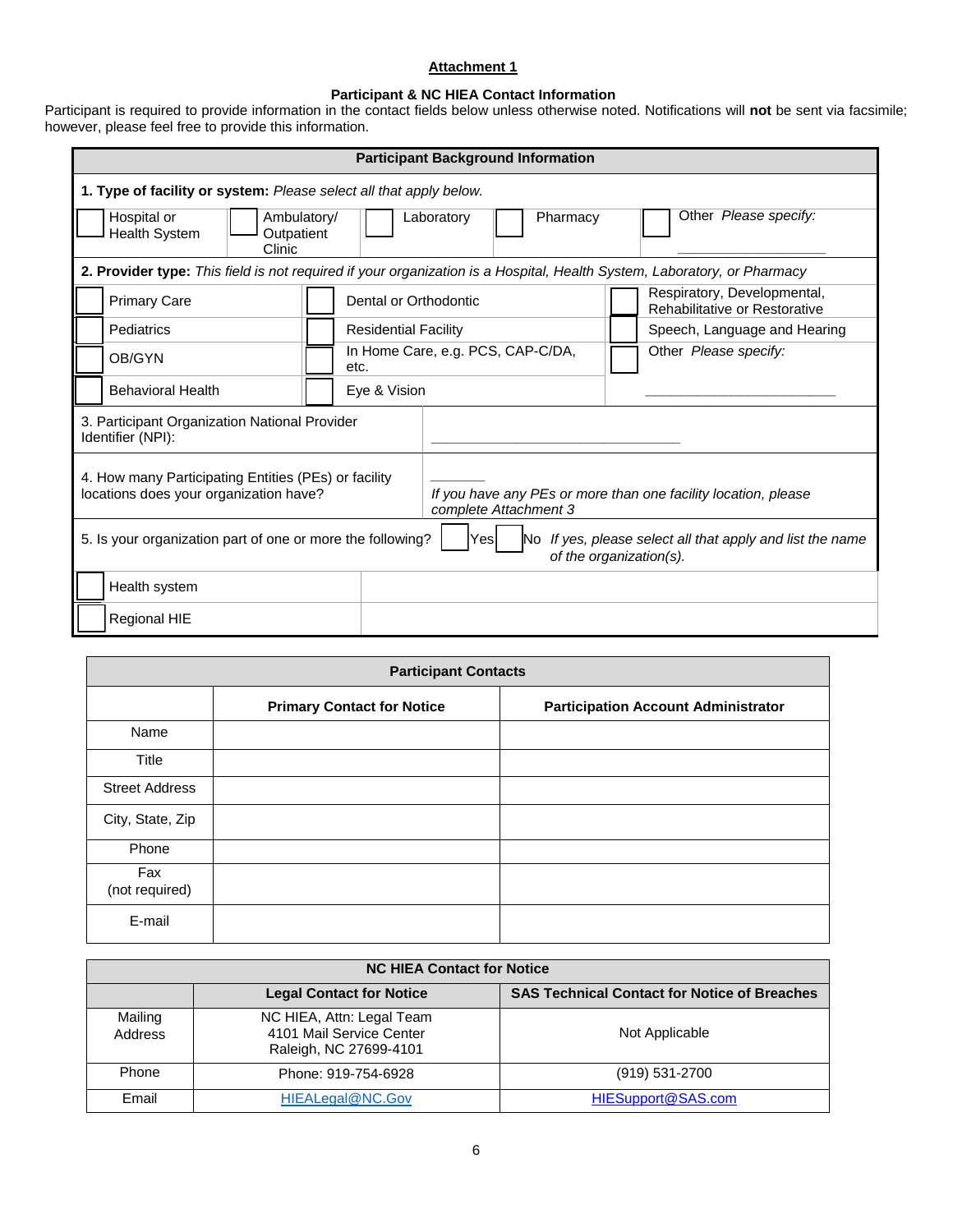# **Attachment 1**

#### **Participant & NC HIEA Contact Information**

Participant is required to provide information in the contact fields below unless otherwise noted. Notifications will **not** be sent via facsimile; however, please feel free to provide this information.

| <b>Participant Background Information</b>                                                                                                                      |                             |                                                                                         |                                                              |  |  |
|----------------------------------------------------------------------------------------------------------------------------------------------------------------|-----------------------------|-----------------------------------------------------------------------------------------|--------------------------------------------------------------|--|--|
| 1. Type of facility or system: Please select all that apply below.                                                                                             |                             |                                                                                         |                                                              |  |  |
| Other Please specify:<br>Hospital or<br>Ambulatory/<br>Laboratory<br>Pharmacy<br><b>Health System</b><br>Outpatient<br>Clinic                                  |                             |                                                                                         |                                                              |  |  |
| 2. Provider type: This field is not required if your organization is a Hospital, Health System, Laboratory, or Pharmacy                                        |                             |                                                                                         |                                                              |  |  |
| <b>Primary Care</b>                                                                                                                                            | Dental or Orthodontic       |                                                                                         | Respiratory, Developmental,<br>Rehabilitative or Restorative |  |  |
| Pediatrics                                                                                                                                                     | <b>Residential Facility</b> |                                                                                         | Speech, Language and Hearing                                 |  |  |
| OB/GYN                                                                                                                                                         | etc.                        | In Home Care, e.g. PCS, CAP-C/DA,                                                       | Other Please specify:                                        |  |  |
| <b>Behavioral Health</b>                                                                                                                                       | Eye & Vision                |                                                                                         |                                                              |  |  |
| 3. Participant Organization National Provider<br>Identifier (NPI):                                                                                             |                             |                                                                                         |                                                              |  |  |
| 4. How many Participating Entities (PEs) or facility<br>locations does your organization have?                                                                 |                             | If you have any PEs or more than one facility location, please<br>complete Attachment 3 |                                                              |  |  |
| 5. Is your organization part of one or more the following?<br>If yes, please select all that apply and list the name<br>Yesl<br>No.<br>of the organization(s). |                             |                                                                                         |                                                              |  |  |
| Health system                                                                                                                                                  |                             |                                                                                         |                                                              |  |  |
| Regional HIE                                                                                                                                                   |                             |                                                                                         |                                                              |  |  |

| <b>Participant Contacts</b> |                                   |                                            |  |  |  |
|-----------------------------|-----------------------------------|--------------------------------------------|--|--|--|
|                             | <b>Primary Contact for Notice</b> | <b>Participation Account Administrator</b> |  |  |  |
| Name                        |                                   |                                            |  |  |  |
| Title                       |                                   |                                            |  |  |  |
| <b>Street Address</b>       |                                   |                                            |  |  |  |
| City, State, Zip            |                                   |                                            |  |  |  |
| Phone                       |                                   |                                            |  |  |  |
| Fax<br>(not required)       |                                   |                                            |  |  |  |
| E-mail                      |                                   |                                            |  |  |  |

| <b>NC HIEA Contact for Notice</b> |                                                                                 |                                                     |  |  |
|-----------------------------------|---------------------------------------------------------------------------------|-----------------------------------------------------|--|--|
|                                   | <b>Legal Contact for Notice</b>                                                 | <b>SAS Technical Contact for Notice of Breaches</b> |  |  |
| Mailing<br>Address                | NC HIEA, Attn: Legal Team<br>4101 Mail Service Center<br>Raleigh, NC 27699-4101 | Not Applicable                                      |  |  |
| Phone                             | Phone: 919-754-6928                                                             | (919) 531-2700                                      |  |  |
| Email                             | HIEALegal@NC.Gov                                                                | HIESupport@SAS.com                                  |  |  |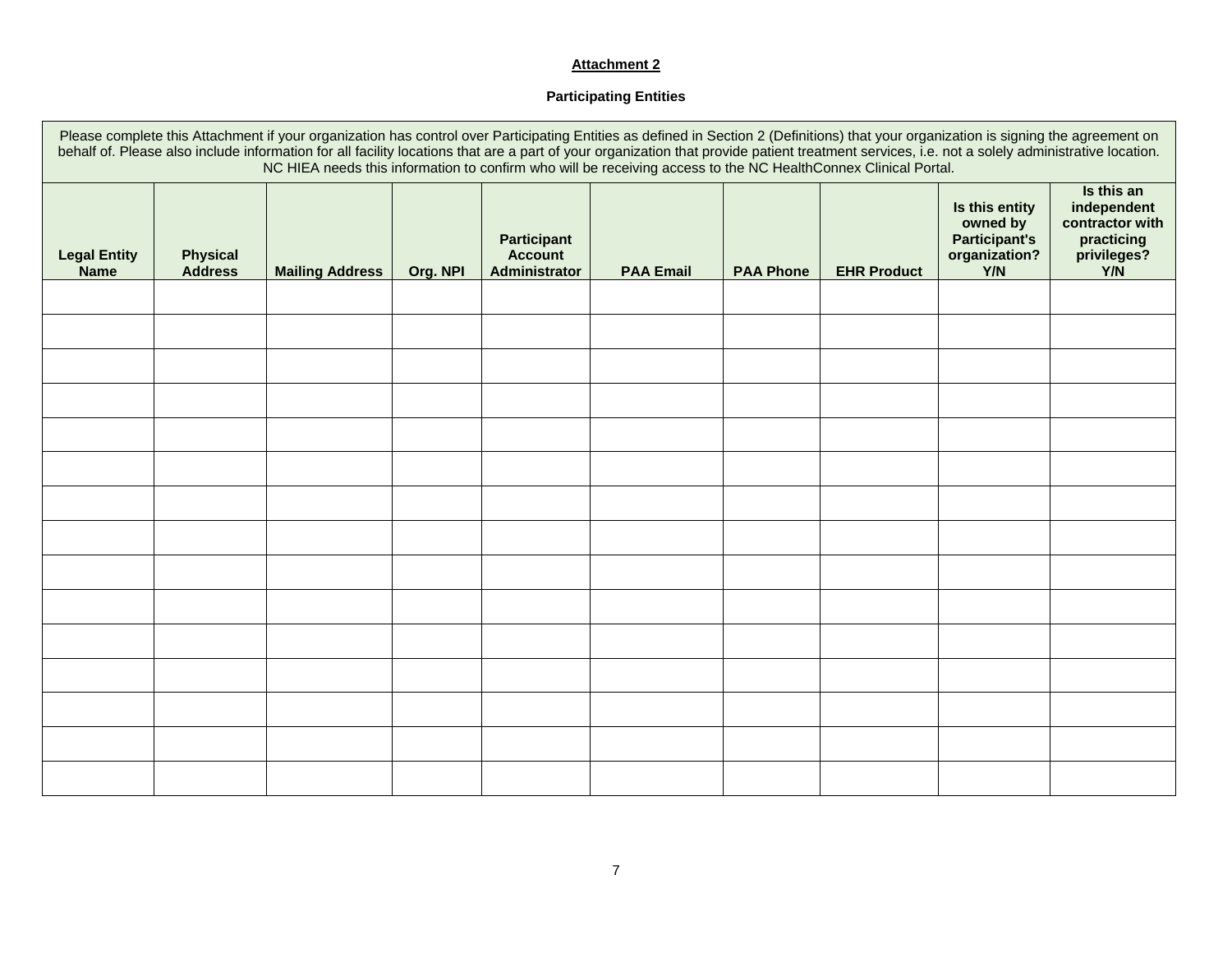# **Attachment 2**

# **Participating Entities**

| Please complete this Attachment if your organization has control over Participating Entities as defined in Section 2 (Definitions) that your organization is signing the agreement on<br>behalf of. Please also include information for all facility locations that are a part of your organization that provide patient treatment services, i.e. not a solely administrative location.<br>NC HIEA needs this information to confirm who will be receiving access to the NC HealthConnex Clinical Portal. |                                   |                        |          |                                                       |                  |                  |                    |                                                                            |                                                                                  |
|-----------------------------------------------------------------------------------------------------------------------------------------------------------------------------------------------------------------------------------------------------------------------------------------------------------------------------------------------------------------------------------------------------------------------------------------------------------------------------------------------------------|-----------------------------------|------------------------|----------|-------------------------------------------------------|------------------|------------------|--------------------|----------------------------------------------------------------------------|----------------------------------------------------------------------------------|
| <b>Legal Entity</b><br><b>Name</b>                                                                                                                                                                                                                                                                                                                                                                                                                                                                        | <b>Physical</b><br><b>Address</b> | <b>Mailing Address</b> | Org. NPI | <b>Participant</b><br><b>Account</b><br>Administrator | <b>PAA Email</b> | <b>PAA Phone</b> | <b>EHR Product</b> | Is this entity<br>owned by<br><b>Participant's</b><br>organization?<br>Y/N | Is this an<br>independent<br>contractor with<br>practicing<br>privileges?<br>Y/N |
|                                                                                                                                                                                                                                                                                                                                                                                                                                                                                                           |                                   |                        |          |                                                       |                  |                  |                    |                                                                            |                                                                                  |
|                                                                                                                                                                                                                                                                                                                                                                                                                                                                                                           |                                   |                        |          |                                                       |                  |                  |                    |                                                                            |                                                                                  |
|                                                                                                                                                                                                                                                                                                                                                                                                                                                                                                           |                                   |                        |          |                                                       |                  |                  |                    |                                                                            |                                                                                  |
|                                                                                                                                                                                                                                                                                                                                                                                                                                                                                                           |                                   |                        |          |                                                       |                  |                  |                    |                                                                            |                                                                                  |
|                                                                                                                                                                                                                                                                                                                                                                                                                                                                                                           |                                   |                        |          |                                                       |                  |                  |                    |                                                                            |                                                                                  |
|                                                                                                                                                                                                                                                                                                                                                                                                                                                                                                           |                                   |                        |          |                                                       |                  |                  |                    |                                                                            |                                                                                  |
|                                                                                                                                                                                                                                                                                                                                                                                                                                                                                                           |                                   |                        |          |                                                       |                  |                  |                    |                                                                            |                                                                                  |
|                                                                                                                                                                                                                                                                                                                                                                                                                                                                                                           |                                   |                        |          |                                                       |                  |                  |                    |                                                                            |                                                                                  |
|                                                                                                                                                                                                                                                                                                                                                                                                                                                                                                           |                                   |                        |          |                                                       |                  |                  |                    |                                                                            |                                                                                  |
|                                                                                                                                                                                                                                                                                                                                                                                                                                                                                                           |                                   |                        |          |                                                       |                  |                  |                    |                                                                            |                                                                                  |
|                                                                                                                                                                                                                                                                                                                                                                                                                                                                                                           |                                   |                        |          |                                                       |                  |                  |                    |                                                                            |                                                                                  |
|                                                                                                                                                                                                                                                                                                                                                                                                                                                                                                           |                                   |                        |          |                                                       |                  |                  |                    |                                                                            |                                                                                  |
|                                                                                                                                                                                                                                                                                                                                                                                                                                                                                                           |                                   |                        |          |                                                       |                  |                  |                    |                                                                            |                                                                                  |
|                                                                                                                                                                                                                                                                                                                                                                                                                                                                                                           |                                   |                        |          |                                                       |                  |                  |                    |                                                                            |                                                                                  |
|                                                                                                                                                                                                                                                                                                                                                                                                                                                                                                           |                                   |                        |          |                                                       |                  |                  |                    |                                                                            |                                                                                  |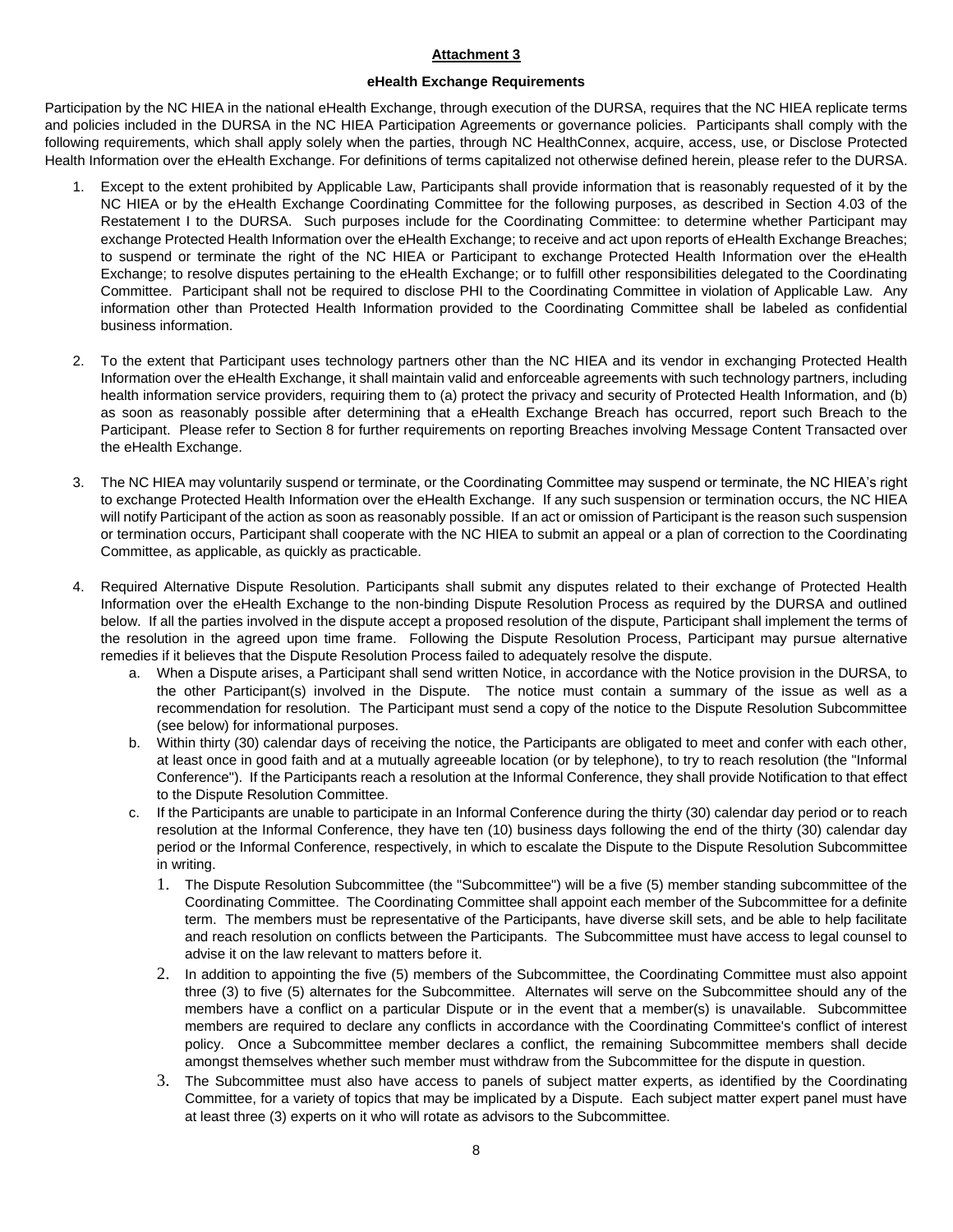#### **Attachment 3**

### **eHealth Exchange Requirements**

Participation by the NC HIEA in the national eHealth Exchange, through execution of the DURSA, requires that the NC HIEA replicate terms and policies included in the DURSA in the NC HIEA Participation Agreements or governance policies. Participants shall comply with the following requirements, which shall apply solely when the parties, through NC HealthConnex, acquire, access, use, or Disclose Protected Health Information over the eHealth Exchange. For definitions of terms capitalized not otherwise defined herein, please refer to the DURSA.

- 1. Except to the extent prohibited by Applicable Law, Participants shall provide information that is reasonably requested of it by the NC HIEA or by the eHealth Exchange Coordinating Committee for the following purposes, as described in Section 4.03 of the Restatement I to the DURSA. Such purposes include for the Coordinating Committee: to determine whether Participant may exchange Protected Health Information over the eHealth Exchange; to receive and act upon reports of eHealth Exchange Breaches; to suspend or terminate the right of the NC HIEA or Participant to exchange Protected Health Information over the eHealth Exchange; to resolve disputes pertaining to the eHealth Exchange; or to fulfill other responsibilities delegated to the Coordinating Committee. Participant shall not be required to disclose PHI to the Coordinating Committee in violation of Applicable Law. Any information other than Protected Health Information provided to the Coordinating Committee shall be labeled as confidential business information.
- 2. To the extent that Participant uses technology partners other than the NC HIEA and its vendor in exchanging Protected Health Information over the eHealth Exchange, it shall maintain valid and enforceable agreements with such technology partners, including health information service providers, requiring them to (a) protect the privacy and security of Protected Health Information, and (b) as soon as reasonably possible after determining that a eHealth Exchange Breach has occurred, report such Breach to the Participant. Please refer to Section 8 for further requirements on reporting Breaches involving Message Content Transacted over the eHealth Exchange.
- 3. The NC HIEA may voluntarily suspend or terminate, or the Coordinating Committee may suspend or terminate, the NC HIEA's right to exchange Protected Health Information over the eHealth Exchange. If any such suspension or termination occurs, the NC HIEA will notify Participant of the action as soon as reasonably possible. If an act or omission of Participant is the reason such suspension or termination occurs, Participant shall cooperate with the NC HIEA to submit an appeal or a plan of correction to the Coordinating Committee, as applicable, as quickly as practicable.
- 4. Required Alternative Dispute Resolution. Participants shall submit any disputes related to their exchange of Protected Health Information over the eHealth Exchange to the non-binding Dispute Resolution Process as required by the DURSA and outlined below. If all the parties involved in the dispute accept a proposed resolution of the dispute, Participant shall implement the terms of the resolution in the agreed upon time frame. Following the Dispute Resolution Process, Participant may pursue alternative remedies if it believes that the Dispute Resolution Process failed to adequately resolve the dispute.
	- a. When a Dispute arises, a Participant shall send written Notice, in accordance with the Notice provision in the DURSA, to the other Participant(s) involved in the Dispute. The notice must contain a summary of the issue as well as a recommendation for resolution. The Participant must send a copy of the notice to the Dispute Resolution Subcommittee (see below) for informational purposes.
	- b. Within thirty (30) calendar days of receiving the notice, the Participants are obligated to meet and confer with each other, at least once in good faith and at a mutually agreeable location (or by telephone), to try to reach resolution (the "Informal Conference"). If the Participants reach a resolution at the Informal Conference, they shall provide Notification to that effect to the Dispute Resolution Committee.
	- c. If the Participants are unable to participate in an Informal Conference during the thirty (30) calendar day period or to reach resolution at the Informal Conference, they have ten (10) business days following the end of the thirty (30) calendar day period or the Informal Conference, respectively, in which to escalate the Dispute to the Dispute Resolution Subcommittee in writing.
		- 1. The Dispute Resolution Subcommittee (the "Subcommittee") will be a five (5) member standing subcommittee of the Coordinating Committee. The Coordinating Committee shall appoint each member of the Subcommittee for a definite term. The members must be representative of the Participants, have diverse skill sets, and be able to help facilitate and reach resolution on conflicts between the Participants. The Subcommittee must have access to legal counsel to advise it on the law relevant to matters before it.
		- 2. In addition to appointing the five (5) members of the Subcommittee, the Coordinating Committee must also appoint three (3) to five (5) alternates for the Subcommittee. Alternates will serve on the Subcommittee should any of the members have a conflict on a particular Dispute or in the event that a member(s) is unavailable. Subcommittee members are required to declare any conflicts in accordance with the Coordinating Committee's conflict of interest policy. Once a Subcommittee member declares a conflict, the remaining Subcommittee members shall decide amongst themselves whether such member must withdraw from the Subcommittee for the dispute in question.
		- 3. The Subcommittee must also have access to panels of subject matter experts, as identified by the Coordinating Committee, for a variety of topics that may be implicated by a Dispute. Each subject matter expert panel must have at least three (3) experts on it who will rotate as advisors to the Subcommittee.